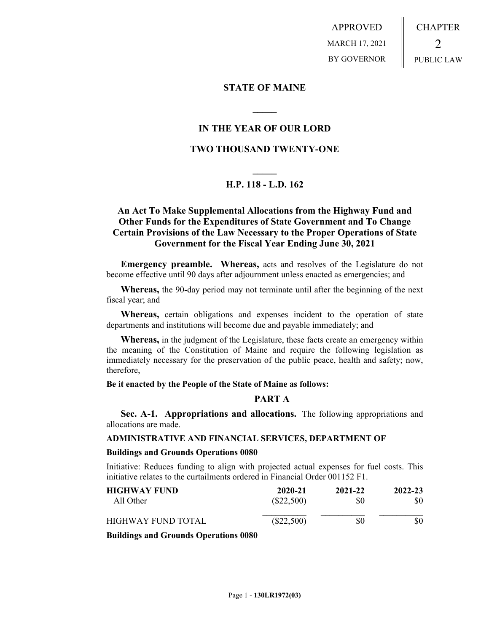APPROVED MARCH 17, 2021 BY GOVERNOR CHAPTER 2 PUBLIC LAW

# **STATE OF MAINE**

# **IN THE YEAR OF OUR LORD**

**\_\_\_\_\_**

# **TWO THOUSAND TWENTY-ONE**

# **\_\_\_\_\_ H.P. 118 - L.D. 162**

# **An Act To Make Supplemental Allocations from the Highway Fund and Other Funds for the Expenditures of State Government and To Change Certain Provisions of the Law Necessary to the Proper Operations of State Government for the Fiscal Year Ending June 30, 2021**

**Emergency preamble. Whereas,** acts and resolves of the Legislature do not become effective until 90 days after adjournment unless enacted as emergencies; and

**Whereas,** the 90-day period may not terminate until after the beginning of the next fiscal year; and

**Whereas,** certain obligations and expenses incident to the operation of state departments and institutions will become due and payable immediately; and

**Whereas,** in the judgment of the Legislature, these facts create an emergency within the meaning of the Constitution of Maine and require the following legislation as immediately necessary for the preservation of the public peace, health and safety; now, therefore,

### **Be it enacted by the People of the State of Maine as follows:**

# **PART A**

**Sec. A-1. Appropriations and allocations.** The following appropriations and allocations are made.

#### **ADMINISTRATIVE AND FINANCIAL SERVICES, DEPARTMENT OF**

#### **Buildings and Grounds Operations 0080**

Initiative: Reduces funding to align with projected actual expenses for fuel costs. This initiative relates to the curtailments ordered in Financial Order 001152 F1.

| <b>HIGHWAY FUND</b> | 2020-21      | 2021-22 | 2022-23      |     |     |
|---------------------|--------------|---------|--------------|-----|-----|
| All Other           | $(\$22,500)$ | \$0     | SO           |     |     |
| HIGHWAY FUND TOTAL  |              |         | $(\$22,500)$ | \$0 | \$0 |

**Buildings and Grounds Operations 0080**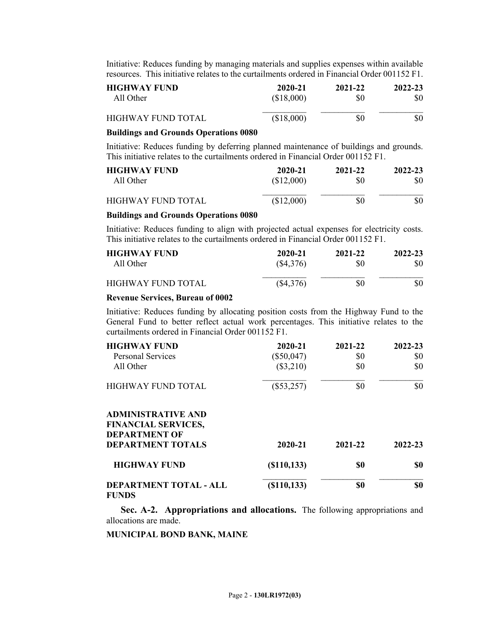Initiative: Reduces funding by managing materials and supplies expenses within available resources. This initiative relates to the curtailments ordered in Financial Order 001152 F1.

| <b>HIGHWAY FUND</b> | 2020-21    | 2021-22 | 2022-23 |
|---------------------|------------|---------|---------|
| All Other           | (\$18,000) | \$0     | SO.     |
| HIGHWAY FUND TOTAL  | (\$18,000) | \$0     | \$0     |

#### **Buildings and Grounds Operations 0080**

Initiative: Reduces funding by deferring planned maintenance of buildings and grounds. This initiative relates to the curtailments ordered in Financial Order 001152 F1.

| <b>HIGHWAY FUND</b> | 2020-21    | 2021-22 | $2022 - 23$ |
|---------------------|------------|---------|-------------|
| All Other           | (\$12,000) | \$0     | SO          |
| HIGHWAY FUND TOTAL  | (\$12,000) | \$0     | \$0         |

### **Buildings and Grounds Operations 0080**

Initiative: Reduces funding to align with projected actual expenses for electricity costs. This initiative relates to the curtailments ordered in Financial Order 001152 F1.

| <b>HIGHWAY FUND</b>       | 2020-21     | 2021-22 | 2022-23 |
|---------------------------|-------------|---------|---------|
| All Other                 | (\$4,376)   | \$0     | \$0     |
| <b>HIGHWAY FUND TOTAL</b> | $(\$4,376)$ | \$0     | \$0     |

#### **Revenue Services, Bureau of 0002**

Initiative: Reduces funding by allocating position costs from the Highway Fund to the General Fund to better reflect actual work percentages. This initiative relates to the curtailments ordered in Financial Order 001152 F1.

| <b>HIGHWAY FUND</b> | 2020-21      | 2021-22 | 2022-23 |  |
|---------------------|--------------|---------|---------|--|
| Personal Services   | $(\$50,047)$ | SO      | \$0     |  |
| All Other           | $(\$3,210)$  | SO      | \$0     |  |
| HIGHWAY FUND TOTAL  | $(\$53,257)$ | S0      | \$0     |  |

| <b>ADMINISTRATIVE AND</b><br><b>FINANCIAL SERVICES,</b><br><b>DEPARTMENT OF</b> |             |         |         |
|---------------------------------------------------------------------------------|-------------|---------|---------|
| <b>DEPARTMENT TOTALS</b>                                                        | 2020-21     | 2021-22 | 2022-23 |
| <b>HIGHWAY FUND</b>                                                             | (S110, 133) | \$0     | \$0     |
| <b>DEPARTMENT TOTAL - ALL</b><br><b>FUNDS</b>                                   | (S110, 133) | \$0     | \$0     |

**Sec. A-2. Appropriations and allocations.** The following appropriations and allocations are made.

**MUNICIPAL BOND BANK, MAINE**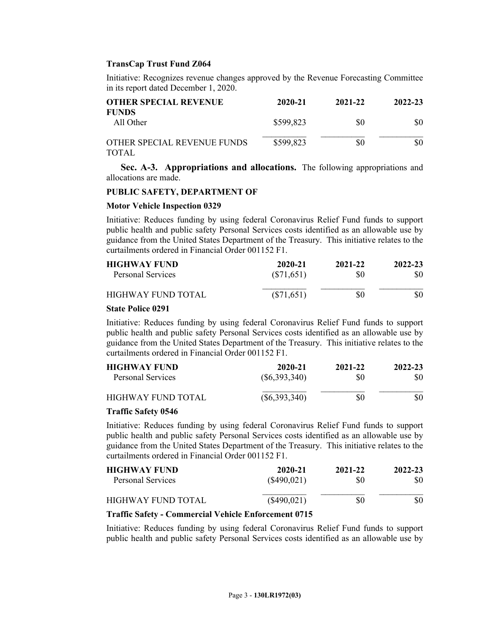### **TransCap Trust Fund Z064**

Initiative: Recognizes revenue changes approved by the Revenue Forecasting Committee in its report dated December 1, 2020.

| <b>OTHER SPECIAL REVENUE</b><br><b>FUNDS</b> | 2020-21   | 2021-22 | 2022-23 |
|----------------------------------------------|-----------|---------|---------|
| All Other                                    | \$599,823 | \$0     | \$0     |
| OTHER SPECIAL REVENUE FUNDS<br><b>TOTAL</b>  | \$599,823 | \$0     | \$0     |

**Sec. A-3. Appropriations and allocations.** The following appropriations and allocations are made.

### **PUBLIC SAFETY, DEPARTMENT OF**

#### **Motor Vehicle Inspection 0329**

Initiative: Reduces funding by using federal Coronavirus Relief Fund funds to support public health and public safety Personal Services costs identified as an allowable use by guidance from the United States Department of the Treasury. This initiative relates to the curtailments ordered in Financial Order 001152 F1.

| <b>HIGHWAY FUND</b> | 2020-21      | 2021-22 | 2022-23 |
|---------------------|--------------|---------|---------|
| Personal Services   | $(\$71,651)$ | \$0     | \$0     |
| HIGHWAY FUND TOTAL  | $(\$71,651)$ | \$0     | \$0     |

### **State Police 0291**

Initiative: Reduces funding by using federal Coronavirus Relief Fund funds to support public health and public safety Personal Services costs identified as an allowable use by guidance from the United States Department of the Treasury. This initiative relates to the curtailments ordered in Financial Order 001152 F1.

| <b>HIGHWAY FUND</b> | 2020-21         | 2021-22 | 2022-23 |
|---------------------|-----------------|---------|---------|
| Personal Services   | $(\$6,393,340)$ | \$0     | \$0     |
| HIGHWAY FUND TOTAL  | $(\$6,393,340)$ | \$0     | SO      |

### **Traffic Safety 0546**

Initiative: Reduces funding by using federal Coronavirus Relief Fund funds to support public health and public safety Personal Services costs identified as an allowable use by guidance from the United States Department of the Treasury. This initiative relates to the curtailments ordered in Financial Order 001152 F1.

| <b>HIGHWAY FUND</b> | 2020-21       | 2021-22 | 2022-23 |
|---------------------|---------------|---------|---------|
| Personal Services   | $(\$490,021)$ | \$0     | \$0     |
| HIGHWAY FUND TOTAL  | $(\$490,021)$ | \$0     | \$0     |

### **Traffic Safety - Commercial Vehicle Enforcement 0715**

Initiative: Reduces funding by using federal Coronavirus Relief Fund funds to support public health and public safety Personal Services costs identified as an allowable use by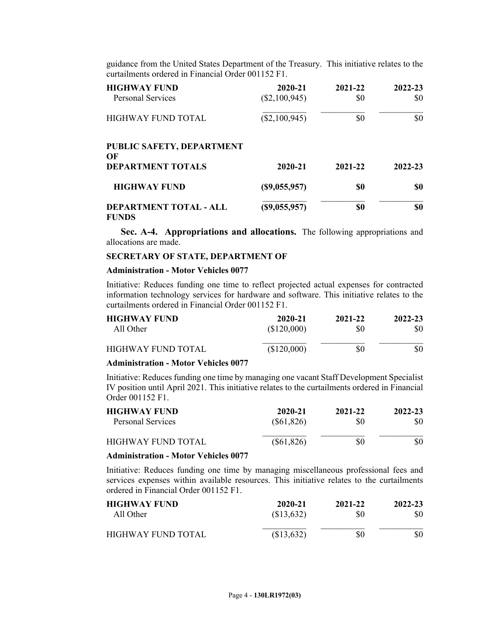guidance from the United States Department of the Treasury. This initiative relates to the curtailments ordered in Financial Order 001152 F1.

| <b>HIGHWAY FUND</b><br><b>Personal Services</b> | 2020-21<br>$(\$2,100,945)$ | 2021-22<br>\$0 | 2022-23<br>\$0 |
|-------------------------------------------------|----------------------------|----------------|----------------|
| <b>HIGHWAY FUND TOTAL</b>                       | $(\$2,100,945)$            | \$0            | \$0            |
| PUBLIC SAFETY, DEPARTMENT<br>OF                 |                            |                |                |
| <b>DEPARTMENT TOTALS</b>                        | 2020-21                    | 2021-22        | 2022-23        |
| <b>HIGHWAY FUND</b>                             | (S9,055,957)               | \$0            | \$0            |
| DEPARTMENT TOTAL - ALL<br><b>FUNDS</b>          | (S9,055,957)               | \$0            | \$0            |

**Sec. A-4. Appropriations and allocations.** The following appropriations and allocations are made.

### **SECRETARY OF STATE, DEPARTMENT OF**

#### **Administration - Motor Vehicles 0077**

Initiative: Reduces funding one time to reflect projected actual expenses for contracted information technology services for hardware and software. This initiative relates to the curtailments ordered in Financial Order 001152 F1.

| <b>HIGHWAY FUND</b> | 2020-21     | 2021-22 | 2022-23 |
|---------------------|-------------|---------|---------|
| All Other           | (\$120,000) | \$0     | \$0     |
| HIGHWAY FUND TOTAL  | (\$120,000) | \$0     | \$0     |

### **Administration - Motor Vehicles 0077**

Initiative: Reduces funding one time by managing one vacant Staff Development Specialist IV position until April 2021. This initiative relates to the curtailments ordered in Financial Order 001152 F1.

| <b>HIGHWAY FUND</b>      | 2020-21      | 2021-22 | 2022-23 |  |
|--------------------------|--------------|---------|---------|--|
| <b>Personal Services</b> | $(\$61,826)$ | \$0     | \$0     |  |
| HIGHWAY FUND TOTAL       | $(\$61,826)$ | \$0     | \$0     |  |

# **Administration - Motor Vehicles 0077**

Initiative: Reduces funding one time by managing miscellaneous professional fees and services expenses within available resources. This initiative relates to the curtailments ordered in Financial Order 001152 F1.

| <b>HIGHWAY FUND</b> | 2020-21    | 2021-22 | 2022-23 |  |
|---------------------|------------|---------|---------|--|
| All Other           | \$13,632)  | \$0     | SO      |  |
| HIGHWAY FUND TOTAL  | (\$13,632) | \$0     | \$0     |  |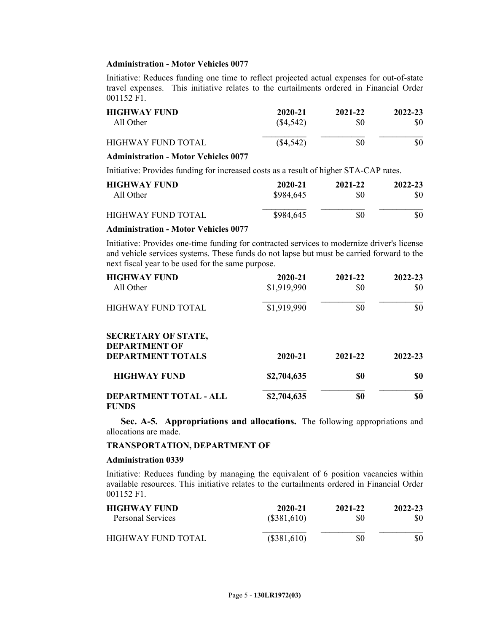# **Administration - Motor Vehicles 0077**

Initiative: Reduces funding one time to reflect projected actual expenses for out-of-state travel expenses. This initiative relates to the curtailments ordered in Financial Order 001152 F1.

| <b>HIGHWAY FUND</b> | 2020-21     | 2021-22 | 2022-23 |  |
|---------------------|-------------|---------|---------|--|
| All Other           | $(\$4,542)$ | \$0     | \$0     |  |
| HIGHWAY FUND TOTAL  | $(\$4,542)$ | \$0     | \$0     |  |

### **Administration - Motor Vehicles 0077**

Initiative: Provides funding for increased costs as a result of higher STA-CAP rates.

| <b>HIGHWAY FUND</b> | 2020-21   | 2021-22 | 2022-23 |
|---------------------|-----------|---------|---------|
| All Other           | \$984,645 | \$0     | SO.     |
| HIGHWAY FUND TOTAL  | \$984,645 | \$0     | \$0     |

### **Administration - Motor Vehicles 0077**

Initiative: Provides one-time funding for contracted services to modernize driver's license and vehicle services systems. These funds do not lapse but must be carried forward to the next fiscal year to be used for the same purpose.

| <b>HIGHWAY FUND</b>                                | 2020-21     | 2021-22 | 2022-23 |
|----------------------------------------------------|-------------|---------|---------|
| All Other                                          | \$1,919,990 | \$0     | \$0     |
| <b>HIGHWAY FUND TOTAL</b>                          | \$1,919,990 | \$0     | \$0     |
| <b>SECRETARY OF STATE,</b><br><b>DEPARTMENT OF</b> |             |         |         |
| <b>DEPARTMENT TOTALS</b>                           | 2020-21     | 2021-22 | 2022-23 |
| <b>HIGHWAY FUND</b>                                | \$2,704,635 | \$0     | \$0     |
| <b>DEPARTMENT TOTAL - ALL</b><br><b>FUNDS</b>      | \$2,704,635 | \$0     | \$0     |

**Sec. A-5. Appropriations and allocations.** The following appropriations and allocations are made.

### **TRANSPORTATION, DEPARTMENT OF**

### **Administration 0339**

Initiative: Reduces funding by managing the equivalent of 6 position vacancies within available resources. This initiative relates to the curtailments ordered in Financial Order 001152 F1.

| <b>HIGHWAY FUND</b> | 2020-21       | 2021-22 | 2022-23 |
|---------------------|---------------|---------|---------|
| Personal Services   | $(\$381,610)$ | \$0     | \$0     |
| HIGHWAY FUND TOTAL  | $(\$381,610)$ | \$0     | \$0     |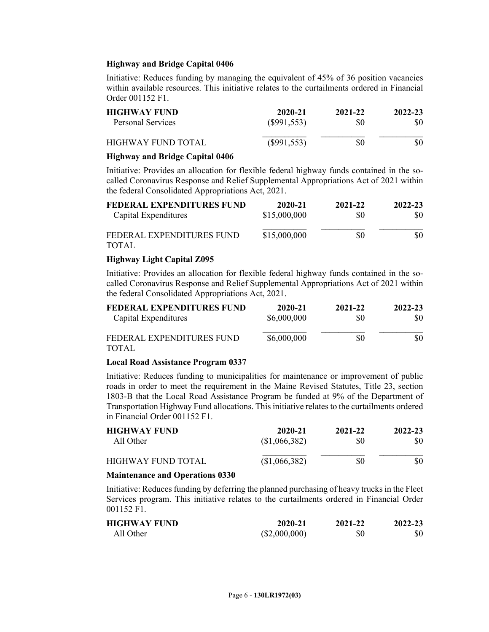### **Highway and Bridge Capital 0406**

Initiative: Reduces funding by managing the equivalent of 45% of 36 position vacancies within available resources. This initiative relates to the curtailments ordered in Financial Order 001152 F1.

| <b>HIGHWAY FUND</b>       | 2020-21       | 2021-22 | 2022-23 |
|---------------------------|---------------|---------|---------|
| Personal Services         | $(\$991,553)$ | \$0     | \$0     |
| <b>HIGHWAY FUND TOTAL</b> | $(\$991,553)$ | \$0     | \$0     |

### **Highway and Bridge Capital 0406**

Initiative: Provides an allocation for flexible federal highway funds contained in the socalled Coronavirus Response and Relief Supplemental Appropriations Act of 2021 within the federal Consolidated Appropriations Act, 2021.

| FEDERAL EXPENDITURES FUND                 | 2020-21      | 2021-22 | 2022-23 |
|-------------------------------------------|--------------|---------|---------|
| Capital Expenditures                      | \$15,000,000 | \$0     | SO.     |
| FEDERAL EXPENDITURES FUND<br><b>TOTAL</b> | \$15,000,000 | \$0     | \$0     |

# **Highway Light Capital Z095**

Initiative: Provides an allocation for flexible federal highway funds contained in the socalled Coronavirus Response and Relief Supplemental Appropriations Act of 2021 within the federal Consolidated Appropriations Act, 2021.

| FEDERAL EXPENDITURES FUND                 | 2020-21     | 2021-22 | 2022-23 |
|-------------------------------------------|-------------|---------|---------|
| Capital Expenditures                      | \$6,000,000 | \$0     | \$0     |
| FEDERAL EXPENDITURES FUND<br><b>TOTAL</b> | \$6,000,000 | \$0     | \$0     |

### **Local Road Assistance Program 0337**

Initiative: Reduces funding to municipalities for maintenance or improvement of public roads in order to meet the requirement in the Maine Revised Statutes, Title 23, section 1803-B that the Local Road Assistance Program be funded at 9% of the Department of Transportation Highway Fund allocations. This initiative relates to the curtailments ordered in Financial Order 001152 F1.

| <b>HIGHWAY FUND</b> | 2020-21      | 2021-22 | 2022-23 |
|---------------------|--------------|---------|---------|
| All Other           | \$1,066,382) | \$0     | \$0     |
| HIGHWAY FUND TOTAL  | \$1,066,382) | \$0     | \$0     |

### **Maintenance and Operations 0330**

Initiative: Reduces funding by deferring the planned purchasing of heavy trucks in the Fleet Services program. This initiative relates to the curtailments ordered in Financial Order 001152 F1.

| HIGHWAY FUND | 2020-21       | 2021-22 | 2022-23 |
|--------------|---------------|---------|---------|
| All Other    | (\$2,000,000) | \$0     | \$0     |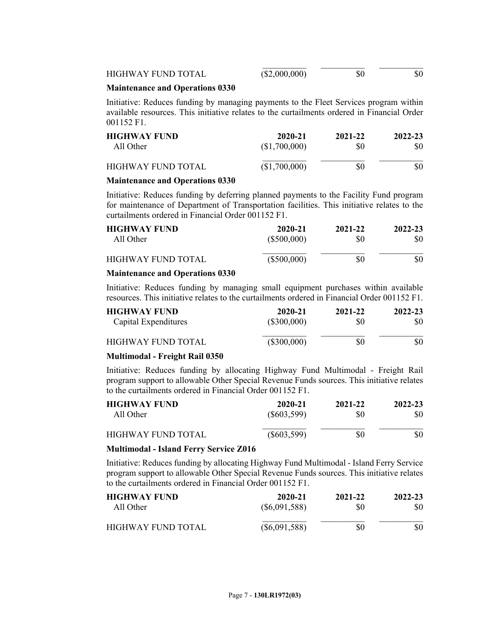| HIGHWAY FUND TOTAL | $(\$2,000,000)$ | \$0 |  |
|--------------------|-----------------|-----|--|
|--------------------|-----------------|-----|--|

### **Maintenance and Operations 0330**

Initiative: Reduces funding by managing payments to the Fleet Services program within available resources. This initiative relates to the curtailments ordered in Financial Order 001152 F1.

| <b>HIGHWAY FUND</b> | 2020-21       | 2021-22 | 2022-23 |
|---------------------|---------------|---------|---------|
| All Other           | (\$1,700,000) | \$0     | \$0     |
| HIGHWAY FUND TOTAL  | (\$1,700,000) | \$0     | \$0     |

#### **Maintenance and Operations 0330**

Initiative: Reduces funding by deferring planned payments to the Facility Fund program for maintenance of Department of Transportation facilities. This initiative relates to the curtailments ordered in Financial Order 001152 F1.

| <b>HIGHWAY FUND</b> | 2020-21       | 2021-22 | 2022-23 |
|---------------------|---------------|---------|---------|
| All Other           | $(\$500,000)$ | \$0     | \$0     |
| HIGHWAY FUND TOTAL  | $(\$500,000)$ | \$0     | \$0     |

### **Maintenance and Operations 0330**

Initiative: Reduces funding by managing small equipment purchases within available resources. This initiative relates to the curtailments ordered in Financial Order 001152 F1.

| <b>HIGHWAY FUND</b>  | 2020-21       | 2021-22 | 2022-23 |
|----------------------|---------------|---------|---------|
| Capital Expenditures | $(\$300,000)$ | \$0     | SO.     |
| HIGHWAY FUND TOTAL   | $(\$300,000)$ | \$0     | \$0     |

### **Multimodal - Freight Rail 0350**

Initiative: Reduces funding by allocating Highway Fund Multimodal - Freight Rail program support to allowable Other Special Revenue Funds sources. This initiative relates to the curtailments ordered in Financial Order 001152 F1.

| <b>HIGHWAY FUND</b> | 2020-21       | 2021-22 | 2022-23 |
|---------------------|---------------|---------|---------|
| All Other           | $(\$603,599)$ | \$0     | SO.     |
| HIGHWAY FUND TOTAL  | $(\$603,599)$ | \$0     | \$0     |

### **Multimodal - Island Ferry Service Z016**

Initiative: Reduces funding by allocating Highway Fund Multimodal - Island Ferry Service program support to allowable Other Special Revenue Funds sources. This initiative relates to the curtailments ordered in Financial Order 001152 F1.

| <b>HIGHWAY FUND</b> | 2020-21         | 2021-22 | 2022-23 |
|---------------------|-----------------|---------|---------|
| All Other           | $(\$6,091,588)$ | \$0     | SO.     |
| HIGHWAY FUND TOTAL  | $(\$6,091,588)$ | \$0     | \$0     |